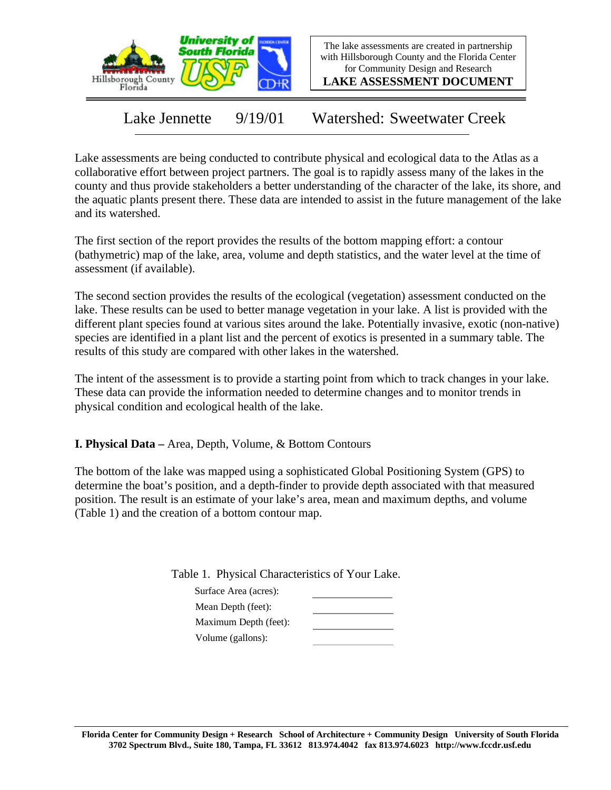

The lake assessments are created in partnership with Hillsborough County and the Florida Center for Community Design and Research

**LAKE ASSESSMENT DOCUMENT**

Lake Jennette 9/19/01 Watershed: Sweetwater Creek

Lake assessments are being conducted to contribute physical and ecological data to the Atlas as a collaborative effort between project partners. The goal is to rapidly assess many of the lakes in the county and thus provide stakeholders a better understanding of the character of the lake, its shore, and the aquatic plants present there. These data are intended to assist in the future management of the lake and its watershed.

The first section of the report provides the results of the bottom mapping effort: a contour (bathymetric) map of the lake, area, volume and depth statistics, and the water level at the time of assessment (if available).

The second section provides the results of the ecological (vegetation) assessment conducted on the lake. These results can be used to better manage vegetation in your lake. A list is provided with the different plant species found at various sites around the lake. Potentially invasive, exotic (non-native) species are identified in a plant list and the percent of exotics is presented in a summary table. The results of this study are compared with other lakes in the watershed.

The intent of the assessment is to provide a starting point from which to track changes in your lake. These data can provide the information needed to determine changes and to monitor trends in physical condition and ecological health of the lake.

**I. Physical Data –** Area, Depth, Volume, & Bottom Contours

The bottom of the lake was mapped using a sophisticated Global Positioning System (GPS) to determine the boat's position, and a depth-finder to provide depth associated with that measured position. The result is an estimate of your lake's area, mean and maximum depths, and volume (Table 1) and the creation of a bottom contour map.

Table 1. Physical Characteristics of Your Lake.

| Surface Area (acres): |  |
|-----------------------|--|
| Mean Depth (feet):    |  |
| Maximum Depth (feet): |  |
| Volume (gallons):     |  |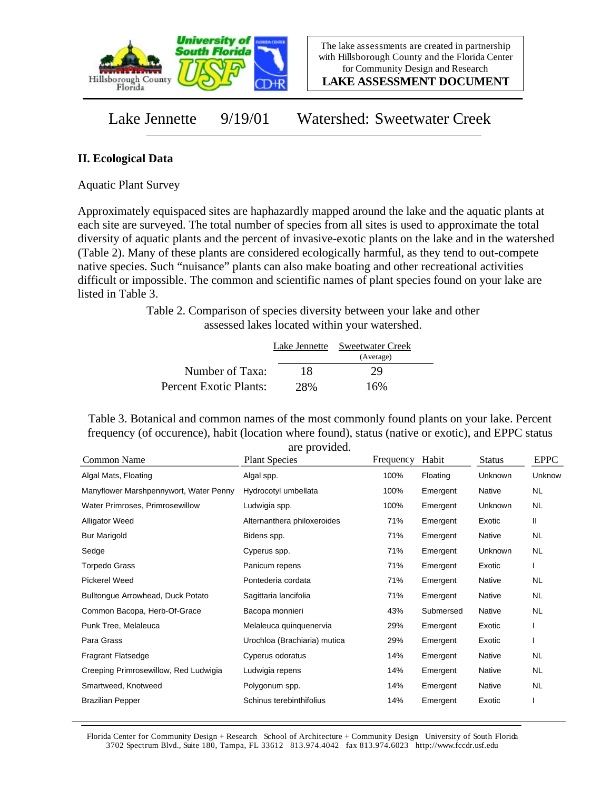

**LAKE ASSESSMENT DOCUMENT**

Lake Jennette 9/19/01 Watershed: Sweetwater Creek

## **II. Ecological Data**

Aquatic Plant Survey

Approximately equispaced sites are haphazardly mapped around the lake and the aquatic plants at each site are surveyed. The total number of species from all sites is used to approximate the total diversity of aquatic plants and the percent of invasive-exotic plants on the lake and in the watershed (Table 2). Many of these plants are considered ecologically harmful, as they tend to out-compete native species. Such "nuisance" plants can also make boating and other recreational activities difficult or impossible. The common and scientific names of plant species found on your lake are listed in Table 3.

> Table 2. Comparison of species diversity between your lake and other assessed lakes located within your watershed.

|                        |     | Lake Jennette Sweetwater Creek |  |
|------------------------|-----|--------------------------------|--|
| Number of Taxa:        | 18  | (Average)<br>29                |  |
|                        |     | 16%                            |  |
| Percent Exotic Plants: | 28% |                                |  |

Table 3. Botanical and common names of the most commonly found plants on your lake. Percent frequency (of occurence), habit (location where found), status (native or exotic), and EPPC status are provided.

| Common Name                            | <b>Plant Species</b>         | Frequency | Habit     | <b>Status</b> | <b>EPPC</b> |
|----------------------------------------|------------------------------|-----------|-----------|---------------|-------------|
| Algal Mats, Floating                   | Algal spp.                   | 100%      | Floating  | Unknown       | Unknow      |
| Manyflower Marshpennywort, Water Penny | Hydrocotyl umbellata         | 100%      | Emergent  | Native        | <b>NL</b>   |
| Water Primroses, Primrosewillow        | Ludwigia spp.                | 100%      | Emergent  | Unknown       | <b>NL</b>   |
| <b>Alligator Weed</b>                  | Alternanthera philoxeroides  | 71%       | Emergent  | Exotic        | Ш           |
| <b>Bur Marigold</b>                    | Bidens spp.                  | 71%       | Emergent  | Native        | <b>NL</b>   |
| Sedge                                  | Cyperus spp.                 | 71%       | Emergent  | Unknown       | <b>NL</b>   |
| <b>Torpedo Grass</b>                   | Panicum repens               | 71%       | Emergent  | Exotic        | L           |
| Pickerel Weed                          | Pontederia cordata           | 71%       | Emergent  | Native        | <b>NL</b>   |
| Bulltongue Arrowhead, Duck Potato      | Sagittaria lancifolia        | 71%       | Emergent  | Native        | <b>NL</b>   |
| Common Bacopa, Herb-Of-Grace           | Bacopa monnieri              | 43%       | Submersed | Native        | <b>NL</b>   |
| Punk Tree, Melaleuca                   | Melaleuca quinquenervia      | 29%       | Emergent  | Exotic        |             |
| Para Grass                             | Urochloa (Brachiaria) mutica | 29%       | Emergent  | Exotic        |             |
| <b>Fragrant Flatsedge</b>              | Cyperus odoratus             | 14%       | Emergent  | Native        | <b>NL</b>   |
| Creeping Primrosewillow, Red Ludwigia  | Ludwigia repens              | 14%       | Emergent  | Native        | <b>NL</b>   |
| Smartweed, Knotweed                    | Polygonum spp.               | 14%       | Emergent  | Native        | <b>NL</b>   |
| <b>Brazilian Pepper</b>                | Schinus terebinthifolius     | 14%       | Emergent  | Exotic        |             |

Florida Center for Community Design + Research School of Architecture + Community Design University of South Florida 3702 Spectrum Blvd., Suite 180, Tampa, FL 33612 813.974.4042 fax 813.974.6023 http://www.fccdr.usf.edu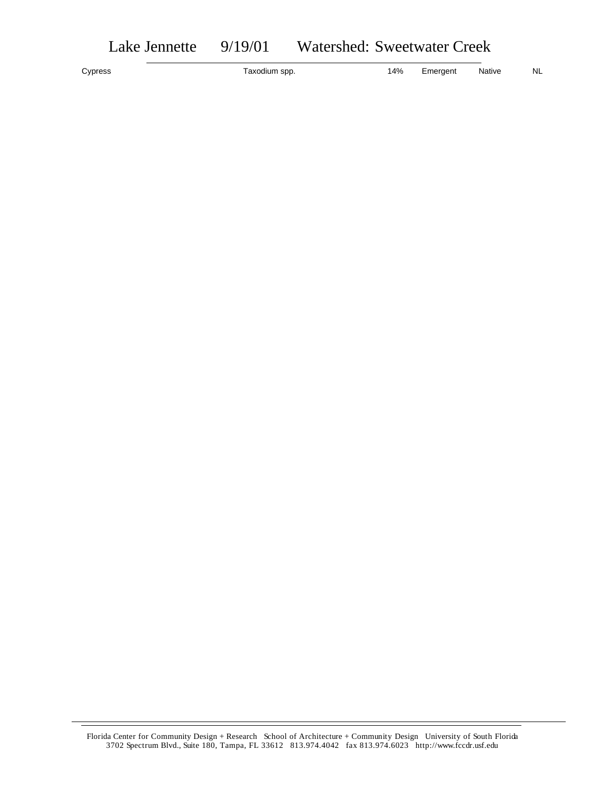|  | Watershed: Sweetwater Creek |  |  |  | 9/19/01 | Lake Jennette |
|--|-----------------------------|--|--|--|---------|---------------|
|--|-----------------------------|--|--|--|---------|---------------|

Cypress **Taxodium spp.** Taxodium spp. 14% Emergent Native NL